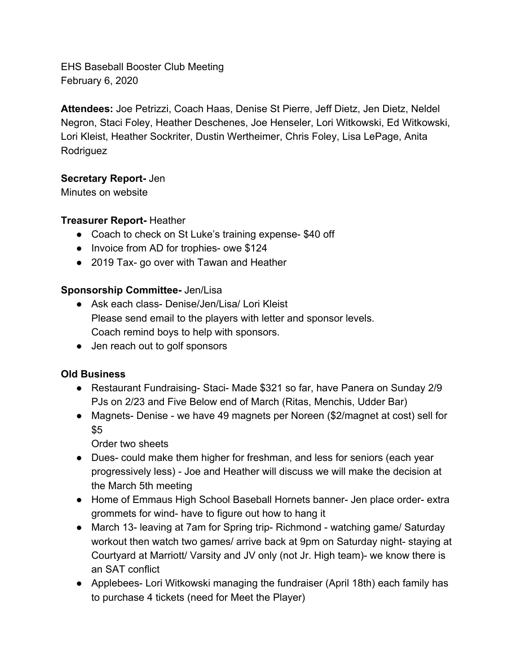EHS Baseball Booster Club Meeting February 6, 2020

**Attendees:** Joe Petrizzi, Coach Haas, Denise St Pierre, Jeff Dietz, Jen Dietz, Neldel Negron, Staci Foley, Heather Deschenes, Joe Henseler, Lori Witkowski, Ed Witkowski, Lori Kleist, Heather Sockriter, Dustin Wertheimer, Chris Foley, Lisa LePage, Anita Rodriguez

# **Secretary Report-** Jen

Minutes on website

# **Treasurer Report-** Heather

- Coach to check on St Luke's training expense- \$40 off
- Invoice from AD for trophies- owe \$124
- 2019 Tax- go over with Tawan and Heather

# **Sponsorship Committee-** Jen/Lisa

- Ask each class- Denise/Jen/Lisa/ Lori Kleist Please send email to the players with letter and sponsor levels. Coach remind boys to help with sponsors.
- Jen reach out to golf sponsors

### **Old Business**

- Restaurant Fundraising- Staci- Made \$321 so far, have Panera on Sunday 2/9 PJs on 2/23 and Five Below end of March (Ritas, Menchis, Udder Bar)
- Magnets- Denise we have 49 magnets per Noreen (\$2/magnet at cost) sell for \$5

Order two sheets

- Dues- could make them higher for freshman, and less for seniors (each year progressively less) - Joe and Heather will discuss we will make the decision at the March 5th meeting
- Home of Emmaus High School Baseball Hornets banner- Jen place order- extra grommets for wind- have to figure out how to hang it
- March 13- leaving at 7am for Spring trip- Richmond watching game/ Saturday workout then watch two games/ arrive back at 9pm on Saturday night- staying at Courtyard at Marriott/ Varsity and JV only (not Jr. High team)- we know there is an SAT conflict
- Applebees- Lori Witkowski managing the fundraiser (April 18th) each family has to purchase 4 tickets (need for Meet the Player)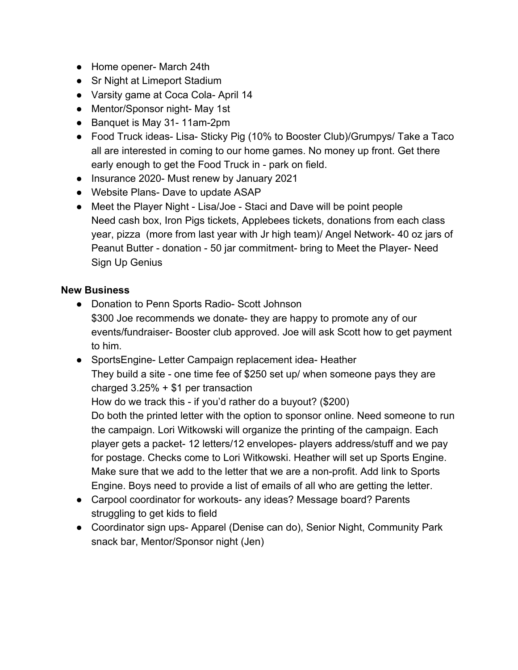- Home opener- March 24th
- Sr Night at Limeport Stadium
- Varsity game at Coca Cola- April 14
- Mentor/Sponsor night- May 1st
- Banquet is May 31-11am-2pm
- Food Truck ideas- Lisa- Sticky Pig (10% to Booster Club)/Grumpys/ Take a Taco all are interested in coming to our home games. No money up front. Get there early enough to get the Food Truck in - park on field.
- Insurance 2020- Must renew by January 2021
- Website Plans- Dave to update ASAP
- Meet the Player Night Lisa/Joe Staci and Dave will be point people Need cash box, Iron Pigs tickets, Applebees tickets, donations from each class year, pizza (more from last year with Jr high team)/ Angel Network- 40 oz jars of Peanut Butter - donation - 50 jar commitment- bring to Meet the Player- Need Sign Up Genius

### **New Business**

● Donation to Penn Sports Radio- Scott Johnson \$300 Joe recommends we donate- they are happy to promote any of our events/fundraiser- Booster club approved. Joe will ask Scott how to get payment to him.

● SportsEngine- Letter Campaign replacement idea- Heather They build a site - one time fee of \$250 set up/ when someone pays they are charged  $3.25% + $1$  per transaction How do we track this - if you'd rather do a buyout? (\$200) Do both the printed letter with the option to sponsor online. Need someone to run the campaign. Lori Witkowski will organize the printing of the campaign. Each player gets a packet- 12 letters/12 envelopes- players address/stuff and we pay for postage. Checks come to Lori Witkowski. Heather will set up Sports Engine. Make sure that we add to the letter that we are a non-profit. Add link to Sports Engine. Boys need to provide a list of emails of all who are getting the letter.

- Carpool coordinator for workouts- any ideas? Message board? Parents struggling to get kids to field
- Coordinator sign ups- Apparel (Denise can do), Senior Night, Community Park snack bar, Mentor/Sponsor night (Jen)